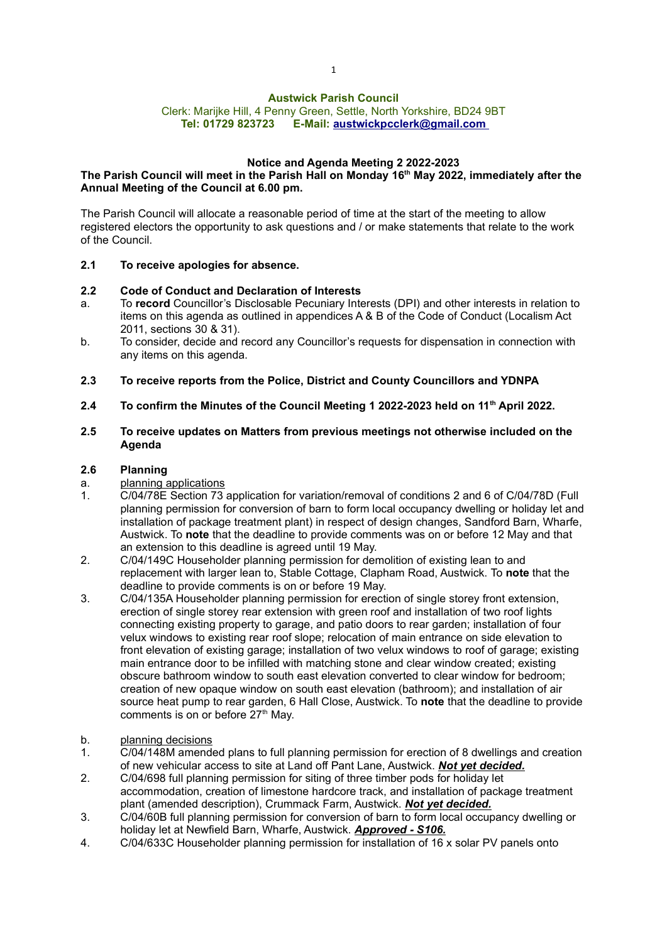# Austwick Parish Council

### Clerk: Marijke Hill, 4 Penny Green, Settle, North Yorkshire, BD24 9BT Tel: 01729 823723 E-Mail: austwickpcclerk@gmail.com

# Notice and Agenda Meeting 2 2022-2023

# The Parish Council will meet in the Parish Hall on Monday 16<sup>th</sup> May 2022, immediately after the Annual Meeting of the Council at 6.00 pm.

The Parish Council will allocate a reasonable period of time at the start of the meeting to allow registered electors the opportunity to ask questions and / or make statements that relate to the work of the Council.

### 2.1 To receive apologies for absence.

### 2.2 Code of Conduct and Declaration of Interests

- a. To record Councillor's Disclosable Pecuniary Interests (DPI) and other interests in relation to items on this agenda as outlined in appendices A & B of the Code of Conduct (Localism Act 2011, sections 30 & 31).
- b. To consider, decide and record any Councillor's requests for dispensation in connection with any items on this agenda.
- 2.3 To receive reports from the Police, District and County Councillors and YDNPA
- 2.4 To confirm the Minutes of the Council Meeting 1 2022-2023 held on 11<sup>th</sup> April 2022.

#### 2.5 To receive updates on Matters from previous meetings not otherwise included on the Agenda

# 2.6 Planning

- a. planning applications
- 1. C/04/78E Section 73 application for variation/removal of conditions 2 and 6 of C/04/78D (Full planning permission for conversion of barn to form local occupancy dwelling or holiday let and installation of package treatment plant) in respect of design changes, Sandford Barn, Wharfe, Austwick. To note that the deadline to provide comments was on or before 12 May and that an extension to this deadline is agreed until 19 May.
- 2. C/04/149C Householder planning permission for demolition of existing lean to and replacement with larger lean to, Stable Cottage, Clapham Road, Austwick. To note that the deadline to provide comments is on or before 19 May.
- 3. C/04/135A Householder planning permission for erection of single storey front extension, erection of single storey rear extension with green roof and installation of two roof lights connecting existing property to garage, and patio doors to rear garden; installation of four velux windows to existing rear roof slope; relocation of main entrance on side elevation to front elevation of existing garage; installation of two velux windows to roof of garage; existing main entrance door to be infilled with matching stone and clear window created; existing obscure bathroom window to south east elevation converted to clear window for bedroom; creation of new opaque window on south east elevation (bathroom); and installation of air source heat pump to rear garden, 6 Hall Close, Austwick. To note that the deadline to provide comments is on or before 27<sup>th</sup> May.
- b. planning decisions
- 1. C/04/148M amended plans to full planning permission for erection of 8 dwellings and creation of new vehicular access to site at Land off Pant Lane, Austwick. Not vet decided.
- 2. C/04/698 full planning permission for siting of three timber pods for holiday let accommodation, creation of limestone hardcore track, and installation of package treatment plant (amended description), Crummack Farm, Austwick. Not vet decided.
- 3. C/04/60B full planning permission for conversion of barn to form local occupancy dwelling or holiday let at Newfield Barn, Wharfe, Austwick. Approved - S106.
- 4. C/04/633C Householder planning permission for installation of 16 x solar PV panels onto